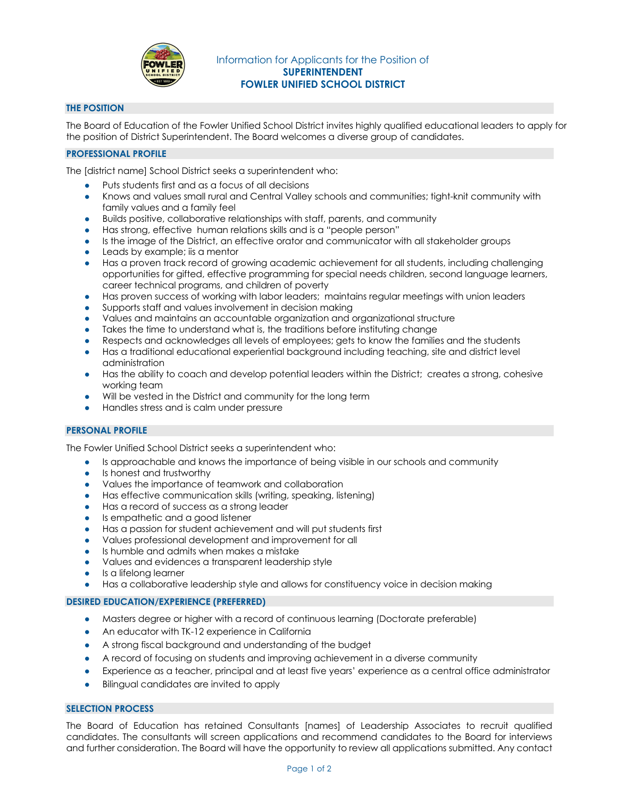

# **THE POSITION**

The Board of Education of the Fowler Unified School District invites highly qualified educational leaders to apply for the position of District Superintendent. The Board welcomes a diverse group of candidates.

# **PROFESSIONAL PROFILE**

The [district name] School District seeks a superintendent who:

- Puts students first and as a focus of all decisions
- Knows and values small rural and Central Valley schools and communities; tight-knit community with family values and a family feel
- Builds positive, collaborative relationships with staff, parents, and community
- Has strong, effective human relations skills and is a "people person"
- Is the image of the District, an effective orator and communicator with all stakeholder groups
- Leads by example; iis a mentor
- Has a proven track record of growing academic achievement for all students, including challenging opportunities for gifted, effective programming for special needs children, second language learners, career technical programs, and children of poverty
- Has proven success of working with labor leaders; maintains regular meetings with union leaders
- Supports staff and values involvement in decision making
- Values and maintains an accountable organization and organizational structure
- Takes the time to understand what is, the traditions before instituting change
- Respects and acknowledges all levels of employees; gets to know the families and the students
- Has a traditional educational experiential background including teaching, site and district level administration
- Has the ability to coach and develop potential leaders within the District; creates a strong, cohesive working team
- Will be vested in the District and community for the long term
- Handles stress and is calm under pressure

# **PERSONAL PROFILE**

The Fowler Unified School District seeks a superintendent who:

- Is approachable and knows the importance of being visible in our schools and community
- Is honest and trustworthy
- Values the importance of teamwork and collaboration
- Has effective communication skills (writing, speaking, listening)
- Has a record of success as a strong leader
- Is empathetic and a good listener
- Has a passion for student achievement and will put students first
- Values professional development and improvement for all
- Is humble and admits when makes a mistake
- Values and evidences a transparent leadership style
- Is a lifelong learner
- Has a collaborative leadership style and allows for constituency voice in decision making

# **DESIRED EDUCATION/EXPERIENCE (PREFERRED)**

- Masters degree or higher with a record of continuous learning (Doctorate preferable)
- An educator with TK-12 experience in California
- A strong fiscal background and understanding of the budget
- A record of focusing on students and improving achievement in a diverse community
- Experience as a teacher, principal and at least five years' experience as a central office administrator
- Bilingual candidates are invited to apply

# **SELECTION PROCESS**

The Board of Education has retained Consultants [names] of Leadership Associates to recruit qualified candidates. The consultants will screen applications and recommend candidates to the Board for interviews and further consideration. The Board will have the opportunity to review all applications submitted. Any contact